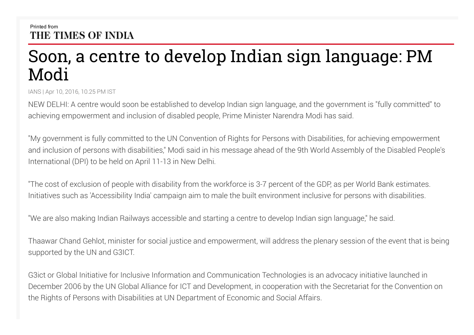## Printed from THE TIMES OF INDIA

## Soon, a centre to develop Indian sign language: PM Modi

IANS | Apr 10, 2016, 10.25 PM IST

NEW DELHI: A centre would soon be established to develop Indian sign language, and the government is "fully committed" to achieving empowerment and inclusion of disabled people, Prime Minister Narendra Modi has said.

"My government is fully committed to the UN Convention of Rights for Persons with Disabilities, for achieving empowerment and inclusion of persons with disabilities," Modi said in his message ahead of the 9th World Assembly of the Disabled People's International (DPI) to be held on April 11-13 in New Delhi.

"The cost of exclusion of people with disability from the workforce is 3-7 percent of the GDP, as per World Bank estimates. Initiatives such as 'Accessibility India' campaign aim to male the built environment inclusive for persons with disabilities.

"We are also making Indian Railways accessible and starting a centre to develop Indian sign language," he said.

Thaawar Chand Gehlot, minister for social justice and empowerment, will address the plenary session of the event that is being supported by the UN and G3ICT.

G3ict or Global Initiative for Inclusive Information and Communication Technologies is an advocacy initiative launched in December 2006 by the UN Global Alliance for ICT and Development, in cooperation with the Secretariat for the Convention on the Rights of Persons with Disabilities at UN Department of Economic and Social Affairs.